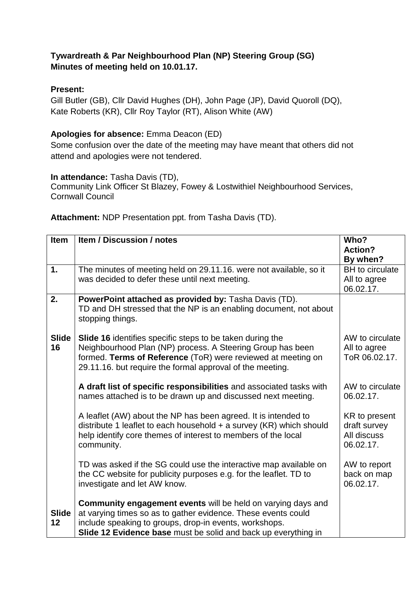## **Tywardreath & Par Neighbourhood Plan (NP) Steering Group (SG) Minutes of meeting held on 10.01.17.**

## **Present:**

Gill Butler (GB), Cllr David Hughes (DH), John Page (JP), David Quoroll (DQ), Kate Roberts (KR), Cllr Roy Taylor (RT), Alison White (AW)

## **Apologies for absence:** Emma Deacon (ED)

Some confusion over the date of the meeting may have meant that others did not attend and apologies were not tendered.

**In attendance:** Tasha Davis (TD),

Community Link Officer St Blazey, Fowey & Lostwithiel Neighbourhood Services, Cornwall Council

| Item         | <b>Item / Discussion / notes</b>                                                      | Who?                   |
|--------------|---------------------------------------------------------------------------------------|------------------------|
|              |                                                                                       | <b>Action?</b>         |
|              |                                                                                       | By when?               |
| 1.           | The minutes of meeting held on 29.11.16. were not available, so it                    | <b>BH</b> to circulate |
|              | was decided to defer these until next meeting.                                        | All to agree           |
|              |                                                                                       | 06.02.17.              |
| 2.           | PowerPoint attached as provided by: Tasha Davis (TD).                                 |                        |
|              | TD and DH stressed that the NP is an enabling document, not about<br>stopping things. |                        |
| <b>Slide</b> | Slide 16 identifies specific steps to be taken during the                             | AW to circulate        |
| 16           | Neighbourhood Plan (NP) process. A Steering Group has been                            | All to agree           |
|              | formed. Terms of Reference (ToR) were reviewed at meeting on                          | ToR 06.02.17.          |
|              | 29.11.16. but require the formal approval of the meeting.                             |                        |
|              |                                                                                       |                        |
|              | A draft list of specific responsibilities and associated tasks with                   | AW to circulate        |
|              | names attached is to be drawn up and discussed next meeting.                          | 06.02.17.              |
|              | A leaflet (AW) about the NP has been agreed. It is intended to                        | KR to present          |
|              | distribute 1 leaflet to each household $+$ a survey (KR) which should                 | draft survey           |
|              | help identify core themes of interest to members of the local                         | All discuss            |
|              | community.                                                                            | 06.02.17.              |
|              |                                                                                       |                        |
|              | TD was asked if the SG could use the interactive map available on                     | AW to report           |
|              | the CC website for publicity purposes e.g. for the leaflet. TD to                     | back on map            |
|              | investigate and let AW know.                                                          | 06.02.17.              |
|              |                                                                                       |                        |
|              | <b>Community engagement events</b> will be held on varying days and                   |                        |
| <b>Slide</b> | at varying times so as to gather evidence. These events could                         |                        |
| 12           | include speaking to groups, drop-in events, workshops.                                |                        |
|              | Slide 12 Evidence base must be solid and back up everything in                        |                        |

**Attachment:** NDP Presentation ppt. from Tasha Davis (TD).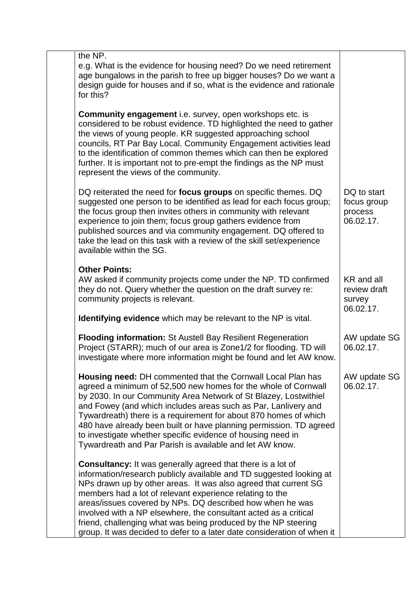| the NP.<br>e.g. What is the evidence for housing need? Do we need retirement<br>age bungalows in the parish to free up bigger houses? Do we want a<br>design guide for houses and if so, what is the evidence and rationale<br>for this?                                                                                                                                                                                                                                                                                                               |                                                    |
|--------------------------------------------------------------------------------------------------------------------------------------------------------------------------------------------------------------------------------------------------------------------------------------------------------------------------------------------------------------------------------------------------------------------------------------------------------------------------------------------------------------------------------------------------------|----------------------------------------------------|
| <b>Community engagement</b> i.e. survey, open workshops etc. is<br>considered to be robust evidence. TD highlighted the need to gather<br>the views of young people. KR suggested approaching school<br>councils, RT Par Bay Local. Community Engagement activities lead<br>to the identification of common themes which can then be explored<br>further. It is important not to pre-empt the findings as the NP must<br>represent the views of the community.                                                                                         |                                                    |
| DQ reiterated the need for focus groups on specific themes. DQ<br>suggested one person to be identified as lead for each focus group;<br>the focus group then invites others in community with relevant<br>experience to join them; focus group gathers evidence from<br>published sources and via community engagement. DQ offered to<br>take the lead on this task with a review of the skill set/experience<br>available within the SG.                                                                                                             | DQ to start<br>focus group<br>process<br>06.02.17. |
| <b>Other Points:</b><br>AW asked if community projects come under the NP. TD confirmed<br>they do not. Query whether the question on the draft survey re:<br>community projects is relevant.<br><b>Identifying evidence</b> which may be relevant to the NP is vital.                                                                                                                                                                                                                                                                                  | KR and all<br>review draft<br>survey<br>06.02.17.  |
| <b>Flooding information: St Austell Bay Resilient Regeneration</b><br>Project (STARR); much of our area is Zone1/2 for flooding. TD will<br>investigate where more information might be found and let AW know.                                                                                                                                                                                                                                                                                                                                         | AW update SG<br>06.02.17.                          |
| <b>Housing need: DH commented that the Cornwall Local Plan has</b><br>agreed a minimum of 52,500 new homes for the whole of Cornwall<br>by 2030. In our Community Area Network of St Blazey, Lostwithiel<br>and Fowey (and which includes areas such as Par, Lanlivery and<br>Tywardreath) there is a requirement for about 870 homes of which<br>480 have already been built or have planning permission. TD agreed<br>to investigate whether specific evidence of housing need in<br>Tywardreath and Par Parish is available and let AW know.        | AW update SG<br>06.02.17.                          |
| <b>Consultancy:</b> It was generally agreed that there is a lot of<br>information/research publicly available and TD suggested looking at<br>NPs drawn up by other areas. It was also agreed that current SG<br>members had a lot of relevant experience relating to the<br>areas/issues covered by NPs. DQ described how when he was<br>involved with a NP elsewhere, the consultant acted as a critical<br>friend, challenging what was being produced by the NP steering<br>group. It was decided to defer to a later date consideration of when it |                                                    |